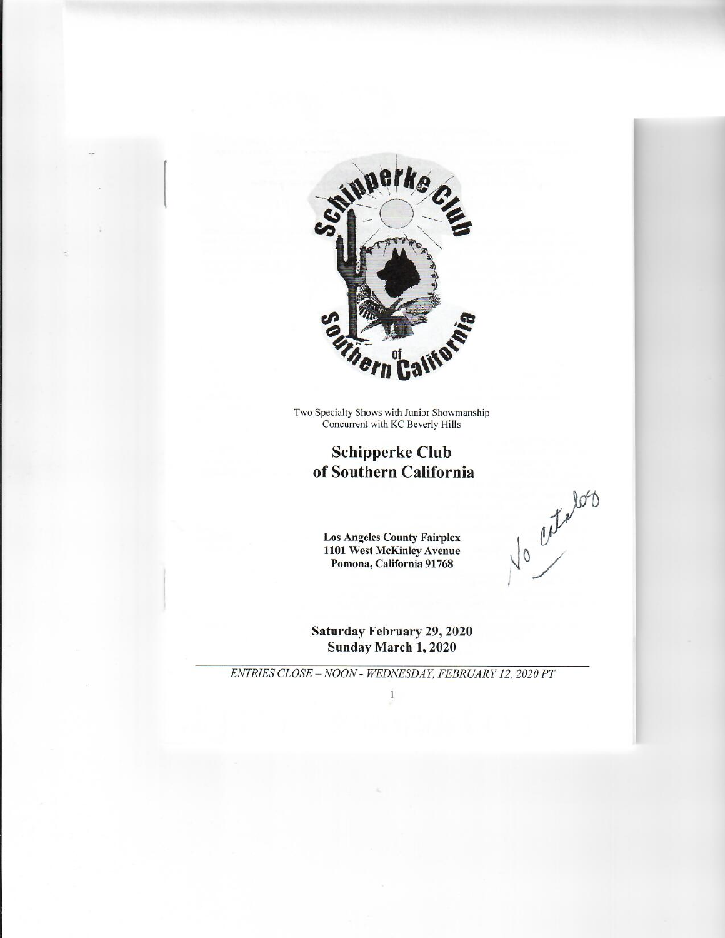

Two Specialty Shows with Junior Showmanship<br>Concurrent with KC Beverly Hills

### **Schipperke Club** of Southern California

**Los Angeles County Fairplex** 1101 West McKinley Avenue Pomona, California 91768

No certalos

Saturday February 29, 2020 Sunday March 1, 2020

ENTRIES CLOSE - NOON - WEDNESDAY, FEBRUARY 12, 2020 PT  $\mathbf{I}$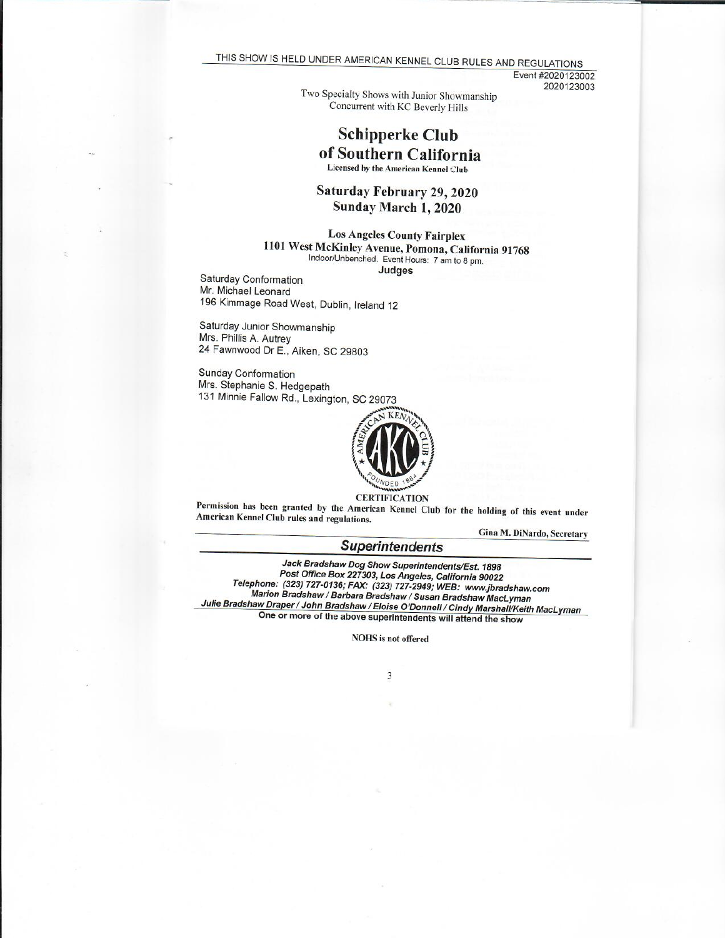THIS SHOW IS HELD UNDER AMERICAN KENNEL CLUB RULES AND REGULATIONS

Event #2020123002 2020123003

Two Specialty Shows with Junior Showmanship Concurrent with KC Beverly Hills

## **Schipperke Club** of Southern California

Licensed by the American Kennel Club

Saturday February 29, 2020 Sunday March 1, 2020

**Los Angeles County Fairplex** 1101 West McKinley Avenue, Pomona, California 91768 Indoor/Unbenched. Event Hours: 7 am to 8 pm. Judges

Saturday Conformation Mr. Michael Leonard 196 Kimmage Road West, Dublin, Ireland 12

Saturday Junior Showmanship Mrs. Phillis A. Autrey 24 Fawnwood Dr E., Aiken, SC 29803

**Sunday Conformation** Mrs. Stephanie S. Hedgepath 131 Minnie Fallow Rd., Lexington, SC 29073



Permission has been granted by the American Kennel Club for the holding of this event under American Kennel Club rules and regulations.

Gina M. DiNardo, Secretary

### **Superintendents**

Jack Bradshaw Dog Show Superintendents/Est. 1898 Post Office Box 227303, Los Angeles, California 90022 Telephone: (323) 727-0136; FAX: (323) 727-2949; WEB: www.jbradshaw.com Marion Bradshaw / Barbara Bradshaw / Susan Bradshaw MacLyman Julie Bradshaw Draper / John Bradshaw / Eloise O'Donnell / Cindy Marshall/Keith MacLyman One or more of the above superintendents will attend the show

**NOHS** is not offered

3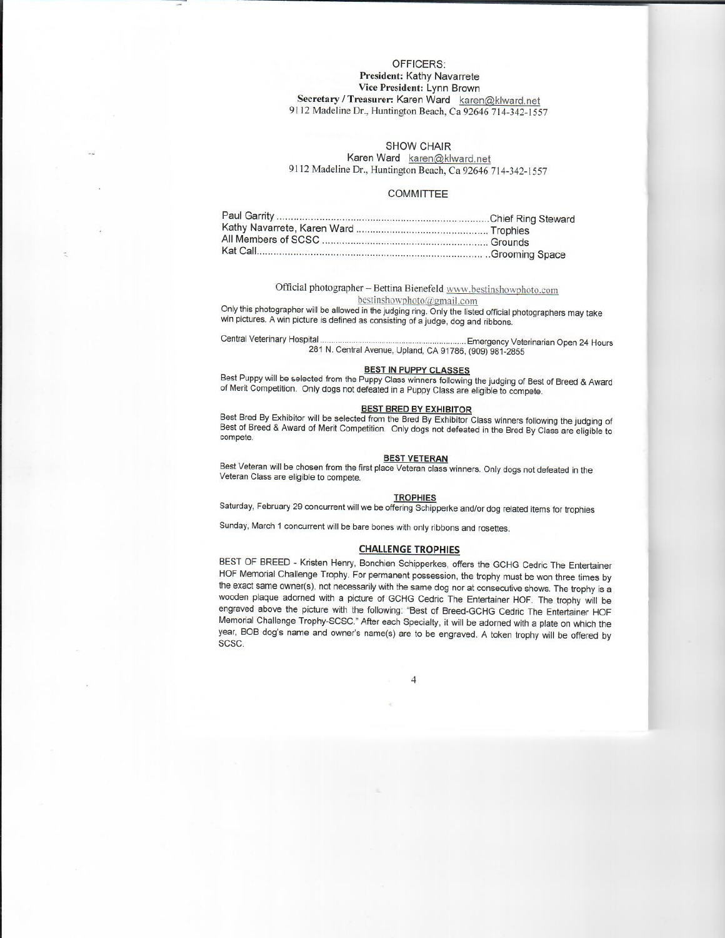#### OFFICERS<sup>.</sup> **President: Kathy Navarrete** Vice President: Lynn Brown Secretary / Treasurer: Karen Ward karen@klward.net 9112 Madeline Dr., Huntington Beach, Ca 92646 714-342-1557

#### **SHOW CHAIR**

Karen Ward karen@klward.net 9112 Madeline Dr., Huntington Beach, Ca 92646 714-342-1557

#### **COMMITTEE**

Official photographer - Bettina Bienefeld www.bestinshowphoto.com bestinshowphoto@gmail.com

Only this photographer will be allowed in the judging ring. Only the listed official photographers may take win pictures. A win picture is defined as consisting of a judge, dog and ribbons.

Central Veterinary Hospital.. ... Emergency Veterinarian Open 24 Hours 281 N. Central Avenue, Upland, CA 91786, (909) 981-2855

#### **BEST IN PUPPY CLASSES**

Best Puppy will be selected from the Puppy Class winners following the judging of Best of Breed & Award<br>of Merit Competition. Only dogs not defeated in a Puppy Class are eligible to compete.

#### **BEST BRED BY EXHIBITOR**

Best Bred By Exhibitor will be selected from the Bred By Exhibitor Class winners following the judging of Best of Breed & Award of Merit Competition. Only dogs not defeated in the Bred By Class are eligible to compete.

#### **BEST VETERAN**

Best Veteran will be chosen from the first place Veteran class winners. Only dogs not defeated in the Veteran Class are eligible to compete.

#### **TROPHIES**

Saturday, February 29 concurrent will we be offering Schipperke and/or dog related items for trophies

Sunday, March 1 concurrent will be bare bones with only ribbons and rosettes.

#### **CHALLENGE TROPHIES**

BEST OF BREED - Kristen Henry, Bonchien Schipperkes, offers the GCHG Cedric The Entertainer HOF Memorial Challenge Trophy. For permanent possession, the trophy must be won three times by the exact same owner(s), not necessarily with the same dog nor at consecutive shows. The trophy is a wooden plaque adorned with a picture of GCHG Cedric The Entertainer HOF. The trophy will be engraved above the picture with the following: "Best of Breed-GCHG Cedric The Entertainer HOF Memorial Challenge Trophy-SCSC." After each Specialty, it will be adorned with a plate on which the year, BOB dog's name and owner's name(s) are to be engraved. A token trophy will be offered by SCSC.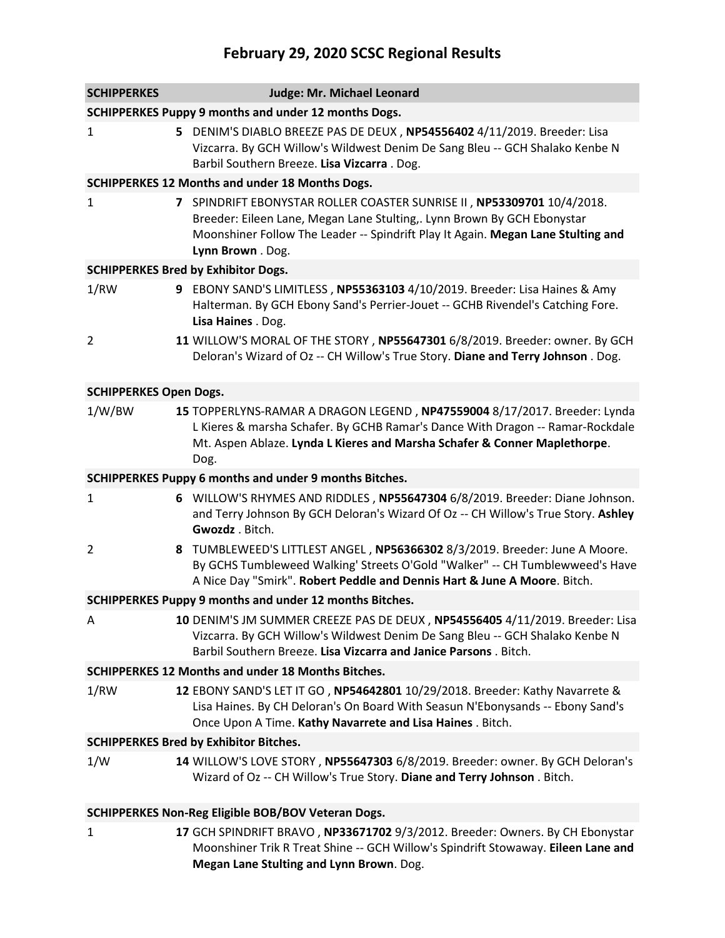# **February 29, 2020 SCSC Regional Results**

| <b>SCHIPPERKES</b>                                        |  | Judge: Mr. Michael Leonard                                                                                                                                                                                                                                 |  |  |
|-----------------------------------------------------------|--|------------------------------------------------------------------------------------------------------------------------------------------------------------------------------------------------------------------------------------------------------------|--|--|
| SCHIPPERKES Puppy 9 months and under 12 months Dogs.      |  |                                                                                                                                                                                                                                                            |  |  |
| 1                                                         |  | 5 DENIM'S DIABLO BREEZE PAS DE DEUX, NP54556402 4/11/2019. Breeder: Lisa<br>Vizcarra. By GCH Willow's Wildwest Denim De Sang Bleu -- GCH Shalako Kenbe N<br>Barbil Southern Breeze. Lisa Vizcarra. Dog.                                                    |  |  |
|                                                           |  | <b>SCHIPPERKES 12 Months and under 18 Months Dogs.</b>                                                                                                                                                                                                     |  |  |
| 1                                                         |  | 7 SPINDRIFT EBONYSTAR ROLLER COASTER SUNRISE II, NP53309701 10/4/2018.<br>Breeder: Eileen Lane, Megan Lane Stulting,. Lynn Brown By GCH Ebonystar<br>Moonshiner Follow The Leader -- Spindrift Play It Again. Megan Lane Stulting and<br>Lynn Brown . Dog. |  |  |
|                                                           |  | <b>SCHIPPERKES Bred by Exhibitor Dogs.</b>                                                                                                                                                                                                                 |  |  |
| 1/RW                                                      |  | 9 EBONY SAND'S LIMITLESS, NP55363103 4/10/2019. Breeder: Lisa Haines & Amy<br>Halterman. By GCH Ebony Sand's Perrier-Jouet -- GCHB Rivendel's Catching Fore.<br>Lisa Haines . Dog.                                                                         |  |  |
| $\overline{2}$                                            |  | 11 WILLOW'S MORAL OF THE STORY, NP55647301 6/8/2019. Breeder: owner. By GCH<br>Deloran's Wizard of Oz -- CH Willow's True Story. Diane and Terry Johnson . Dog.                                                                                            |  |  |
| <b>SCHIPPERKES Open Dogs.</b>                             |  |                                                                                                                                                                                                                                                            |  |  |
| 1/W/BW                                                    |  | 15 TOPPERLYNS-RAMAR A DRAGON LEGEND, NP47559004 8/17/2017. Breeder: Lynda<br>L Kieres & marsha Schafer. By GCHB Ramar's Dance With Dragon -- Ramar-Rockdale<br>Mt. Aspen Ablaze. Lynda L Kieres and Marsha Schafer & Conner Maplethorpe.<br>Dog.           |  |  |
|                                                           |  | SCHIPPERKES Puppy 6 months and under 9 months Bitches.                                                                                                                                                                                                     |  |  |
| 1                                                         |  | 6 WILLOW'S RHYMES AND RIDDLES, NP55647304 6/8/2019. Breeder: Diane Johnson.<br>and Terry Johnson By GCH Deloran's Wizard Of Oz -- CH Willow's True Story. Ashley<br>Gwozdz . Bitch.                                                                        |  |  |
| $\overline{2}$                                            |  | 8 TUMBLEWEED'S LITTLEST ANGEL, NP56366302 8/3/2019. Breeder: June A Moore.<br>By GCHS Tumbleweed Walking' Streets O'Gold "Walker" -- CH Tumblewweed's Have<br>A Nice Day "Smirk". Robert Peddle and Dennis Hart & June A Moore. Bitch.                     |  |  |
|                                                           |  | SCHIPPERKES Puppy 9 months and under 12 months Bitches.                                                                                                                                                                                                    |  |  |
| Α                                                         |  | 10 DENIM'S JM SUMMER CREEZE PAS DE DEUX, NP54556405 4/11/2019. Breeder: Lisa<br>Vizcarra. By GCH Willow's Wildwest Denim De Sang Bleu -- GCH Shalako Kenbe N<br>Barbil Southern Breeze. Lisa Vizcarra and Janice Parsons. Bitch.                           |  |  |
|                                                           |  | <b>SCHIPPERKES 12 Months and under 18 Months Bitches.</b>                                                                                                                                                                                                  |  |  |
| 1/RW                                                      |  | 12 EBONY SAND'S LET IT GO, NP54642801 10/29/2018. Breeder: Kathy Navarrete &<br>Lisa Haines. By CH Deloran's On Board With Seasun N'Ebonysands -- Ebony Sand's<br>Once Upon A Time. Kathy Navarrete and Lisa Haines. Bitch.                                |  |  |
| <b>SCHIPPERKES Bred by Exhibitor Bitches.</b>             |  |                                                                                                                                                                                                                                                            |  |  |
| 1/W                                                       |  | 14 WILLOW'S LOVE STORY, NP55647303 6/8/2019. Breeder: owner. By GCH Deloran's<br>Wizard of Oz -- CH Willow's True Story. Diane and Terry Johnson. Bitch.                                                                                                   |  |  |
| <b>SCHIPPERKES Non-Reg Eligible BOB/BOV Veteran Dogs.</b> |  |                                                                                                                                                                                                                                                            |  |  |
| 1                                                         |  | 17 GCH SPINDRIFT BRAVO, NP33671702 9/3/2012. Breeder: Owners. By CH Ebonystar                                                                                                                                                                              |  |  |

Moonshiner Trik R Treat Shine -- GCH Willow's Spindrift Stowaway. **Eileen Lane and** 

**Megan Lane Stulting and Lynn Brown**. Dog.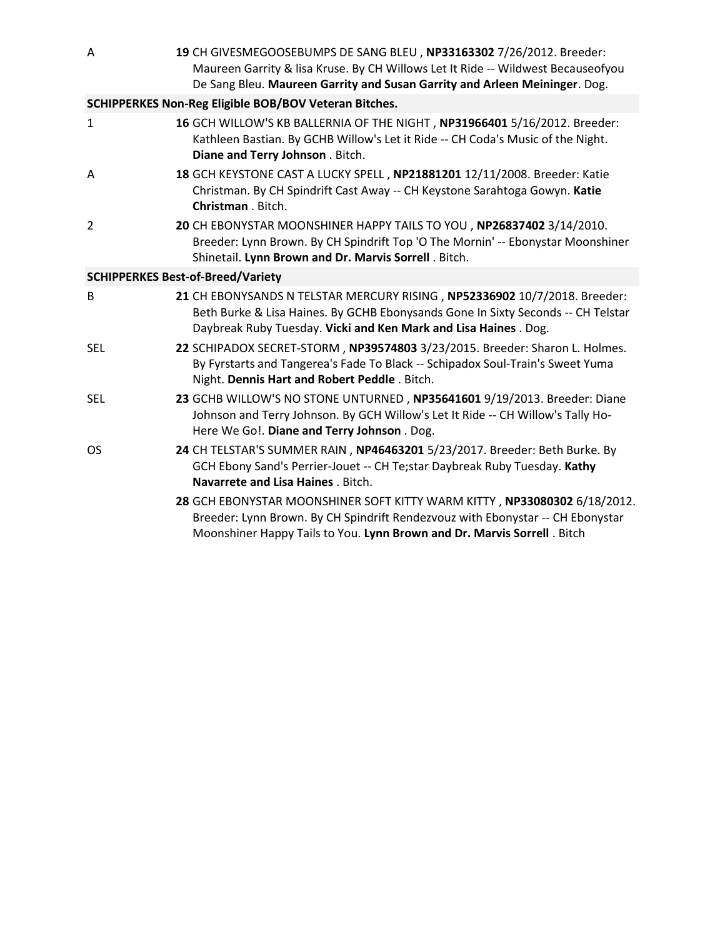| Α                                                            | 19 CH GIVESMEGOOSEBUMPS DE SANG BLEU, NP33163302 7/26/2012. Breeder:<br>Maureen Garrity & lisa Kruse. By CH Willows Let It Ride -- Wildwest Becauseofyou<br>De Sang Bleu. Maureen Garrity and Susan Garrity and Arleen Meininger. Dog. |  |  |  |
|--------------------------------------------------------------|----------------------------------------------------------------------------------------------------------------------------------------------------------------------------------------------------------------------------------------|--|--|--|
| <b>SCHIPPERKES Non-Reg Eligible BOB/BOV Veteran Bitches.</b> |                                                                                                                                                                                                                                        |  |  |  |
| 1                                                            | 16 GCH WILLOW'S KB BALLERNIA OF THE NIGHT, NP31966401 5/16/2012. Breeder:<br>Kathleen Bastian. By GCHB Willow's Let it Ride -- CH Coda's Music of the Night.<br>Diane and Terry Johnson . Bitch.                                       |  |  |  |
| Α                                                            | 18 GCH KEYSTONE CAST A LUCKY SPELL, NP21881201 12/11/2008. Breeder: Katie<br>Christman. By CH Spindrift Cast Away -- CH Keystone Sarahtoga Gowyn. Katie<br>Christman . Bitch.                                                          |  |  |  |
| 2                                                            | 20 CH EBONYSTAR MOONSHINER HAPPY TAILS TO YOU, NP26837402 3/14/2010.<br>Breeder: Lynn Brown. By CH Spindrift Top 'O The Mornin' -- Ebonystar Moonshiner<br>Shinetail. Lynn Brown and Dr. Marvis Sorrell. Bitch.                        |  |  |  |
|                                                              | <b>SCHIPPERKES Best-of-Breed/Variety</b>                                                                                                                                                                                               |  |  |  |
| B                                                            | 21 CH EBONYSANDS N TELSTAR MERCURY RISING, NP52336902 10/7/2018. Breeder:<br>Beth Burke & Lisa Haines. By GCHB Ebonysands Gone In Sixty Seconds -- CH Telstar<br>Daybreak Ruby Tuesday. Vicki and Ken Mark and Lisa Haines. Dog.       |  |  |  |
| SEL                                                          | 22 SCHIPADOX SECRET-STORM, NP39574803 3/23/2015. Breeder: Sharon L. Holmes.<br>By Fyrstarts and Tangerea's Fade To Black -- Schipadox Soul-Train's Sweet Yuma<br>Night. Dennis Hart and Robert Peddle. Bitch.                          |  |  |  |
| SEL                                                          | 23 GCHB WILLOW'S NO STONE UNTURNED, NP35641601 9/19/2013. Breeder: Diane<br>Johnson and Terry Johnson. By GCH Willow's Let It Ride -- CH Willow's Tally Ho-<br>Here We Go!. Diane and Terry Johnson . Dog.                             |  |  |  |
| OS                                                           | 24 CH TELSTAR'S SUMMER RAIN, NP46463201 5/23/2017. Breeder: Beth Burke. By<br>GCH Ebony Sand's Perrier-Jouet -- CH Te;star Daybreak Ruby Tuesday. Kathy<br>Navarrete and Lisa Haines . Bitch.                                          |  |  |  |
|                                                              | 28 GCH EBONYSTAR MOONSHINER SOFT KITTY WARM KITTY, NP33080302 6/18/2012.<br>Breeder: Lynn Brown. By CH Spindrift Rendezvouz with Ebonystar -- CH Ebonystar<br>Moonshiner Happy Tails to You. Lynn Brown and Dr. Marvis Sorrell. Bitch  |  |  |  |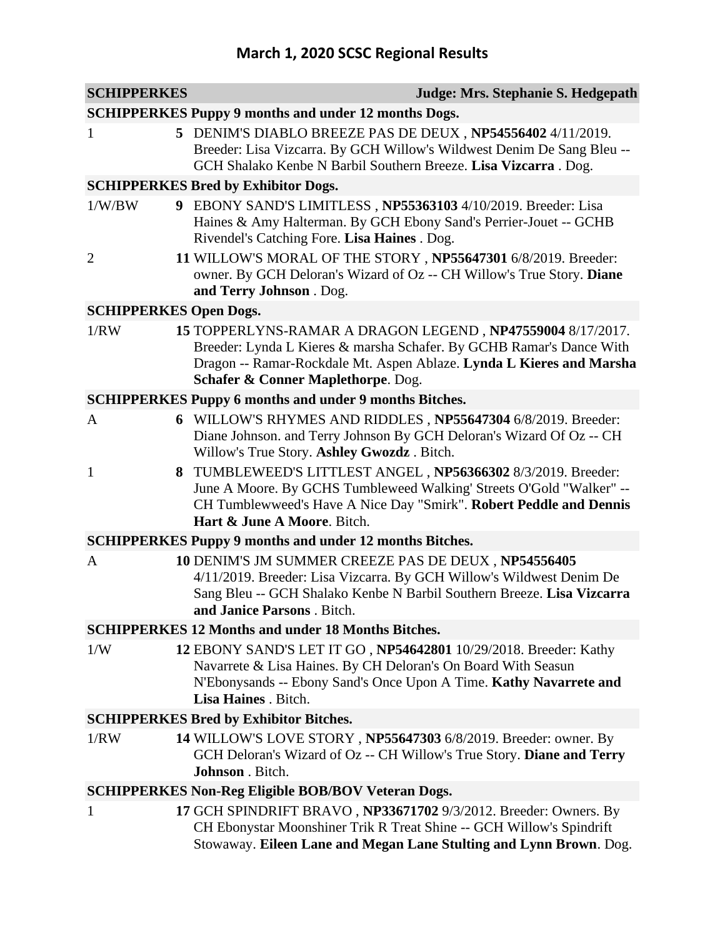# **March 1, 2020 SCSC Regional Results**

| <b>SCHIPPERKES</b>                                          | Judge: Mrs. Stephanie S. Hedgepath                                                                                                                                                                                                               |  |  |  |
|-------------------------------------------------------------|--------------------------------------------------------------------------------------------------------------------------------------------------------------------------------------------------------------------------------------------------|--|--|--|
| <b>SCHIPPERKES Puppy 9 months and under 12 months Dogs.</b> |                                                                                                                                                                                                                                                  |  |  |  |
| 5<br>1                                                      | DENIM'S DIABLO BREEZE PAS DE DEUX, NP54556402 4/11/2019.<br>Breeder: Lisa Vizcarra. By GCH Willow's Wildwest Denim De Sang Bleu --<br>GCH Shalako Kenbe N Barbil Southern Breeze. Lisa Vizcarra. Dog.                                            |  |  |  |
|                                                             | <b>SCHIPPERKES Bred by Exhibitor Dogs.</b>                                                                                                                                                                                                       |  |  |  |
| 1/W/BW                                                      | 9 EBONY SAND'S LIMITLESS, NP55363103 4/10/2019. Breeder: Lisa<br>Haines & Amy Halterman. By GCH Ebony Sand's Perrier-Jouet -- GCHB<br>Rivendel's Catching Fore. Lisa Haines . Dog.                                                               |  |  |  |
| $\overline{2}$                                              | 11 WILLOW'S MORAL OF THE STORY, NP55647301 6/8/2019. Breeder:<br>owner. By GCH Deloran's Wizard of Oz -- CH Willow's True Story. Diane<br>and Terry Johnson . Dog.                                                                               |  |  |  |
| <b>SCHIPPERKES Open Dogs.</b>                               |                                                                                                                                                                                                                                                  |  |  |  |
| 1/RW                                                        | 15 TOPPERLYNS-RAMAR A DRAGON LEGEND, NP47559004 8/17/2017.<br>Breeder: Lynda L Kieres & marsha Schafer. By GCHB Ramar's Dance With<br>Dragon -- Ramar-Rockdale Mt. Aspen Ablaze. Lynda L Kieres and Marsha<br>Schafer & Conner Maplethorpe. Dog. |  |  |  |
|                                                             | <b>SCHIPPERKES Puppy 6 months and under 9 months Bitches.</b>                                                                                                                                                                                    |  |  |  |
| A<br>6                                                      | WILLOW'S RHYMES AND RIDDLES, NP55647304 6/8/2019. Breeder:<br>Diane Johnson. and Terry Johnson By GCH Deloran's Wizard Of Oz -- CH<br>Willow's True Story. Ashley Gwozdz. Bitch.                                                                 |  |  |  |
| $\mathbf{1}$<br>8                                           | TUMBLEWEED'S LITTLEST ANGEL, NP56366302 8/3/2019. Breeder:<br>June A Moore. By GCHS Tumbleweed Walking' Streets O'Gold "Walker" --<br>CH Tumblewweed's Have A Nice Day "Smirk". Robert Peddle and Dennis<br>Hart & June A Moore. Bitch.          |  |  |  |
|                                                             | <b>SCHIPPERKES Puppy 9 months and under 12 months Bitches.</b>                                                                                                                                                                                   |  |  |  |
| A                                                           | 10 DENIM'S JM SUMMER CREEZE PAS DE DEUX, NP54556405<br>4/11/2019. Breeder: Lisa Vizcarra. By GCH Willow's Wildwest Denim De<br>Sang Bleu -- GCH Shalako Kenbe N Barbil Southern Breeze. Lisa Vizcarra<br><b>and Janice Parsons</b> . Bitch.      |  |  |  |
|                                                             | <b>SCHIPPERKES 12 Months and under 18 Months Bitches.</b>                                                                                                                                                                                        |  |  |  |
| 1/W                                                         | 12 EBONY SAND'S LET IT GO, NP54642801 10/29/2018. Breeder: Kathy<br>Navarrete & Lisa Haines. By CH Deloran's On Board With Seasun<br>N'Ebonysands -- Ebony Sand's Once Upon A Time. Kathy Navarrete and<br>Lisa Haines . Bitch.                  |  |  |  |
|                                                             | <b>SCHIPPERKES Bred by Exhibitor Bitches.</b>                                                                                                                                                                                                    |  |  |  |
| 1/RW                                                        | 14 WILLOW'S LOVE STORY, NP55647303 6/8/2019. Breeder: owner. By<br>GCH Deloran's Wizard of Oz -- CH Willow's True Story. Diane and Terry<br>Johnson . Bitch.                                                                                     |  |  |  |
|                                                             | <b>SCHIPPERKES Non-Reg Eligible BOB/BOV Veteran Dogs.</b>                                                                                                                                                                                        |  |  |  |
| 1                                                           | 17 GCH SPINDRIFT BRAVO, NP33671702 9/3/2012. Breeder: Owners. By<br>CH Ebonystar Moonshiner Trik R Treat Shine -- GCH Willow's Spindrift<br>Stowaway. Eileen Lane and Megan Lane Stulting and Lynn Brown. Dog.                                   |  |  |  |